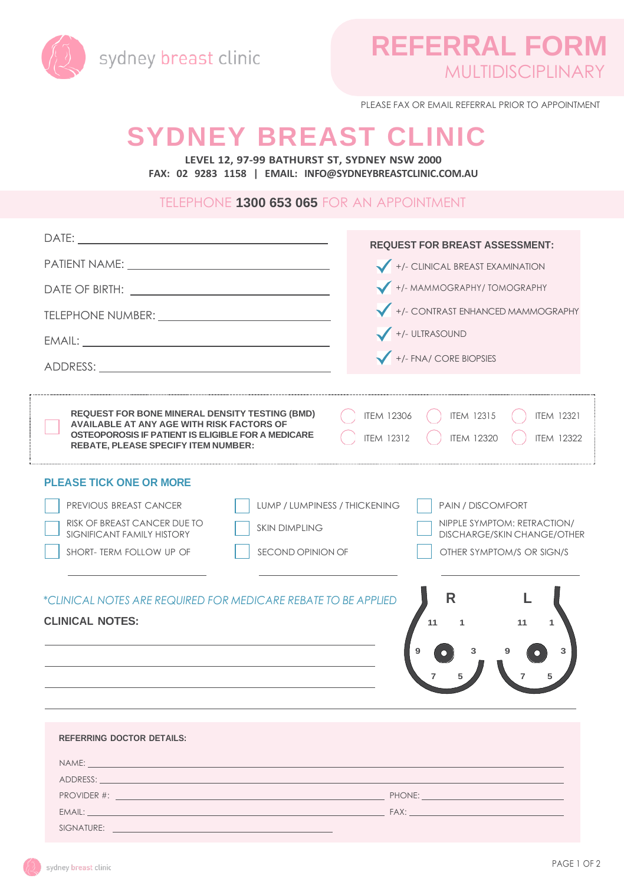

PLEASE FAX OR EMAIL REFERRAL PRIOR TO APPOINTMENT

# **SYDNEY BREAST CLINIC**

**LEVEL 12, 97-99 BATHURST ST, SYDNEY NSW 2000 FAX: 02 9283 1158 | EMAIL: [INFO@SYDNEYBREASTCLINIC.COM.AU](mailto:INFO@SYDNEYBREASTCLINIC.COM.AU)**

#### TELEPHONE **1300 653 065** FOR AN APPOINTMENT

|                                                                                                                                                                                                                               | <b>REQUEST FOR BREAST ASSESSMENT:</b>                                                                                      |
|-------------------------------------------------------------------------------------------------------------------------------------------------------------------------------------------------------------------------------|----------------------------------------------------------------------------------------------------------------------------|
|                                                                                                                                                                                                                               | +/- CLINICAL BREAST EXAMINATION                                                                                            |
|                                                                                                                                                                                                                               | +/- MAMMOGRAPHY/ TOMOGRAPHY                                                                                                |
|                                                                                                                                                                                                                               | +/- CONTRAST ENHANCED MAMMOGRAPHY                                                                                          |
|                                                                                                                                                                                                                               |                                                                                                                            |
|                                                                                                                                                                                                                               | +/- ULTRASOUND                                                                                                             |
|                                                                                                                                                                                                                               | +/- FNA/ CORE BIOPSIES                                                                                                     |
|                                                                                                                                                                                                                               |                                                                                                                            |
| REQUEST FOR BONE MINERAL DENSITY TESTING (BMD)<br>AVAILABLE AT ANY AGE WITH RISK FACTORS OF<br>OSTEOPOROSIS IF PATIENT IS ELIGIBLE FOR A MEDICARE<br><b>REBATE, PLEASE SPECIFY ITEM NUMBER:</b>                               | <b>ITEM 12306</b><br><b>ITEM 12315</b><br><b>ITEM 12321</b><br><b>ITFM 12320</b><br><b>ITFM 12312</b><br><b>ITEM 12322</b> |
| <b>PLEASE TICK ONE OR MORE</b>                                                                                                                                                                                                |                                                                                                                            |
| PREVIOUS BREAST CANCER<br>LUMP / LUMPINESS / THICKENING                                                                                                                                                                       | PAIN / DISCOMFORT                                                                                                          |
| RISK OF BREAST CANCER DUE TO<br><b>SKIN DIMPLING</b>                                                                                                                                                                          | NIPPLE SYMPTOM: RETRACTION/                                                                                                |
| SIGNIFICANT FAMILY HISTORY<br>SHORT- TERM FOLLOW UP OF<br>SECOND OPINION OF                                                                                                                                                   | <b>DISCHARGE/SKIN CHANGE/OTHER</b><br>OTHER SYMPTOM/S OR SIGN/S                                                            |
|                                                                                                                                                                                                                               |                                                                                                                            |
|                                                                                                                                                                                                                               | R                                                                                                                          |
| *CLINICAL NOTES ARE REQUIRED FOR MEDICARE REBATE TO BE APPLIED                                                                                                                                                                |                                                                                                                            |
| <b>CLINICAL NOTES:</b>                                                                                                                                                                                                        | 11<br>11                                                                                                                   |
|                                                                                                                                                                                                                               | 3<br>3                                                                                                                     |
|                                                                                                                                                                                                                               |                                                                                                                            |
|                                                                                                                                                                                                                               |                                                                                                                            |
|                                                                                                                                                                                                                               |                                                                                                                            |
| REFERRING DOCTOR DETAILS:                                                                                                                                                                                                     |                                                                                                                            |
| NAME: A CONTRACTOR CONTRACTOR CONTRACTOR CONTRACTOR CONTRACTOR                                                                                                                                                                |                                                                                                                            |
| ADDRESS: AND ARREST AND A CONTRACT AND A CONTRACT OF THE CONTRACT OF THE CONTRACT OF THE CONTRACT OF THE CONTR                                                                                                                |                                                                                                                            |
|                                                                                                                                                                                                                               |                                                                                                                            |
| EMAIL: EXAMPLE TRANSPORTED THE CONTROL OF THE CONTROL OF THE CONTROL OF THE CONTROL OF THE CONTROL OF THE CONTROL OF THE CONTROL OF THE CONTROL OF THE CONTROL OF THE CONTROL OF THE CONTROL OF THE CONTROL OF THE CONTROL OF |                                                                                                                            |
| SIGNATURE:                                                                                                                                                                                                                    |                                                                                                                            |